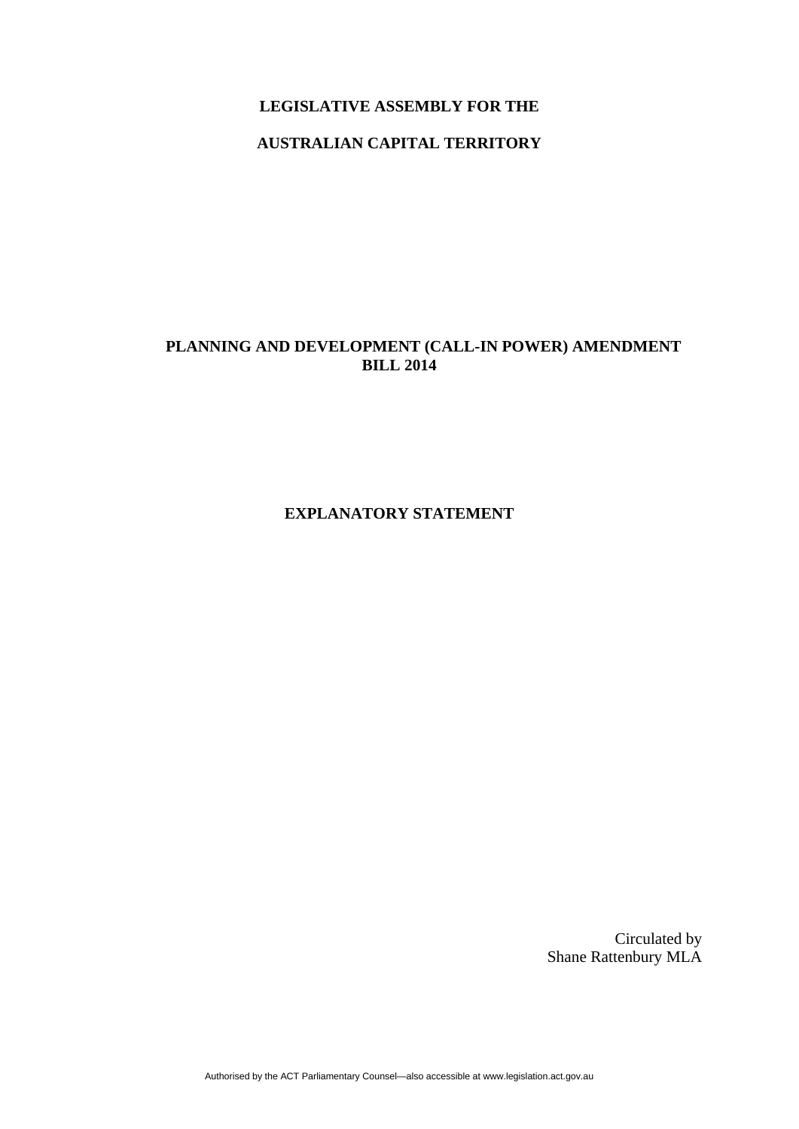#### **LEGISLATIVE ASSEMBLY FOR THE**

## **AUSTRALIAN CAPITAL TERRITORY**

# **PLANNING AND DEVELOPMENT (CALL-IN POWER) AMENDMENT BILL 2014**

**EXPLANATORY STATEMENT** 

Circulated by Shane Rattenbury MLA